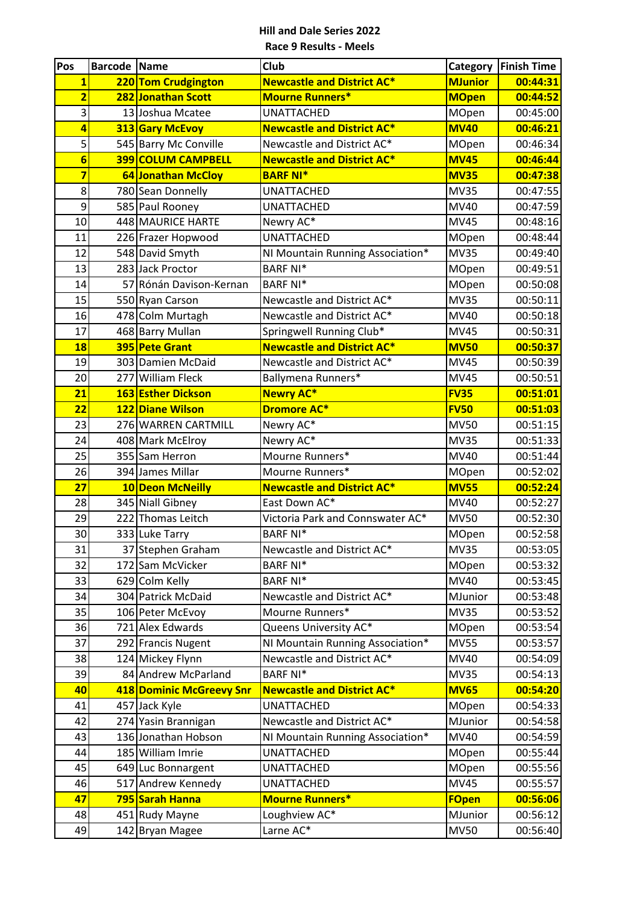| Pos                     | <b>Barcode Name</b> |                                      | <b>Club</b>                              | Category             | <b>Finish Time</b>   |
|-------------------------|---------------------|--------------------------------------|------------------------------------------|----------------------|----------------------|
| $\mathbf{1}$            |                     | 220 Tom Crudgington                  | <b>Newcastle and District AC*</b>        | <b>MJunior</b>       | 00:44:31             |
| $\overline{\mathbf{2}}$ |                     | 282 Jonathan Scott                   | <b>Mourne Runners*</b>                   | <b>MOpen</b>         | 00:44:52             |
| 3                       |                     | 13 Joshua Mcatee                     | <b>UNATTACHED</b>                        | MOpen                | 00:45:00             |
| $\overline{a}$          |                     | 313 Gary McEvoy                      | <b>Newcastle and District AC*</b>        | <b>MV40</b>          | 00:46:21             |
| $\overline{5}$          |                     | 545 Barry Mc Conville                | Newcastle and District AC*               | MOpen                | 00:46:34             |
| $6\phantom{1}6$         |                     | <b>399 COLUM CAMPBELL</b>            | <b>Newcastle and District AC*</b>        | <b>MV45</b>          | 00:46:44             |
| $\overline{\mathbf{z}}$ |                     | 64 Jonathan McCloy                   | <b>BARF NI*</b>                          | <b>MV35</b>          | 00:47:38             |
| 8                       |                     | 780 Sean Donnelly                    | <b>UNATTACHED</b>                        | <b>MV35</b>          | 00:47:55             |
| 9                       |                     | 585 Paul Rooney                      | <b>UNATTACHED</b>                        | MV40                 | 00:47:59             |
| 10                      |                     | 448 MAURICE HARTE                    | Newry AC*                                | <b>MV45</b>          | 00:48:16             |
| 11                      |                     | 226 Frazer Hopwood                   | <b>UNATTACHED</b>                        | MOpen                | 00:48:44             |
| 12                      |                     | 548 David Smyth                      | NI Mountain Running Association*         | <b>MV35</b>          | 00:49:40             |
| 13                      |                     | 283 Jack Proctor                     | <b>BARF NI*</b>                          | MOpen                | 00:49:51             |
| 14                      |                     | 57 Rónán Davison-Kernan              | <b>BARF NI*</b>                          | MOpen                | 00:50:08             |
| 15                      |                     | 550 Ryan Carson                      | Newcastle and District AC*               | <b>MV35</b>          | 00:50:11             |
| 16                      |                     | 478 Colm Murtagh                     | Newcastle and District AC*               | MV40                 | 00:50:18             |
| 17                      |                     | 468 Barry Mullan                     | Springwell Running Club*                 | <b>MV45</b>          | 00:50:31             |
| 18                      |                     | 395 Pete Grant                       | <b>Newcastle and District AC*</b>        | <b>MV50</b>          | 00:50:37             |
| 19                      |                     | 303 Damien McDaid                    | Newcastle and District AC*               | <b>MV45</b>          | 00:50:39             |
| 20                      |                     | 277 William Fleck                    | Ballymena Runners*                       | <b>MV45</b>          | 00:50:51             |
| 21                      |                     | 163 Esther Dickson                   | <b>Newry AC*</b>                         | <b>FV35</b>          | 00:51:01             |
| 22                      |                     | 122 Diane Wilson                     | <b>Dromore AC*</b>                       | <b>FV50</b>          | 00:51:03             |
| 23                      |                     | 276 WARREN CARTMILL                  | Newry AC*                                | <b>MV50</b>          | 00:51:15             |
| 24                      |                     | 408 Mark McElroy                     | Newry AC*                                | <b>MV35</b>          | 00:51:33             |
| 25                      |                     | 355 Sam Herron                       | Mourne Runners*                          | MV40                 | 00:51:44             |
| 26                      |                     | 394 James Millar                     | Mourne Runners*                          | MOpen                | 00:52:02             |
| 27                      |                     | 10 Deon McNeilly                     | <b>Newcastle and District AC*</b>        | <b>MV55</b>          | 00:52:24             |
| 28                      |                     | 345 Niall Gibney                     | East Down AC*                            | MV40                 | 00:52:27             |
| 29                      |                     | 222 Thomas Leitch                    | Victoria Park and Connswater AC*         | <b>MV50</b>          | 00:52:30             |
| 30                      |                     | 333 Luke Tarry                       | <b>BARF NI*</b>                          | MOpen                | 00:52:58             |
| 31                      |                     | 37 Stephen Graham                    | Newcastle and District AC*               | <b>MV35</b>          | 00:53:05             |
| 32                      |                     | 172 Sam McVicker                     | <b>BARF NI*</b>                          | MOpen                | 00:53:32             |
| 33                      |                     | 629 Colm Kelly                       | <b>BARF NI*</b>                          | MV40                 | 00:53:45             |
| 34                      |                     | 304 Patrick McDaid                   | Newcastle and District AC*               | MJunior              | 00:53:48             |
| 35<br>36                |                     | 106 Peter McEvoy<br>721 Alex Edwards | Mourne Runners*<br>Queens University AC* | <b>MV35</b><br>MOpen | 00:53:52             |
| 37                      |                     | 292 Francis Nugent                   | NI Mountain Running Association*         | <b>MV55</b>          | 00:53:54<br>00:53:57 |
| 38                      |                     | 124 Mickey Flynn                     | Newcastle and District AC*               | MV40                 | 00:54:09             |
| 39                      |                     | 84 Andrew McParland                  | <b>BARF NI*</b>                          | <b>MV35</b>          | 00:54:13             |
| 40                      |                     | 418 Dominic McGreevy Snr             | <b>Newcastle and District AC*</b>        | <b>MV65</b>          | 00:54:20             |
| 41                      |                     | 457 Jack Kyle                        | <b>UNATTACHED</b>                        | MOpen                | 00:54:33             |
| 42                      |                     | 274 Yasin Brannigan                  | Newcastle and District AC*               | MJunior              | 00:54:58             |
| 43                      |                     | 136 Jonathan Hobson                  | NI Mountain Running Association*         | MV40                 | 00:54:59             |
| 44                      |                     | 185 William Imrie                    | <b>UNATTACHED</b>                        | MOpen                | 00:55:44             |
| 45                      |                     | 649 Luc Bonnargent                   | <b>UNATTACHED</b>                        | MOpen                | 00:55:56             |
| 46                      |                     | 517 Andrew Kennedy                   | <b>UNATTACHED</b>                        | <b>MV45</b>          | 00:55:57             |
| 47                      |                     | 795 Sarah Hanna                      | <b>Mourne Runners*</b>                   | <b>FOpen</b>         | 00:56:06             |
| 48                      |                     | 451 Rudy Mayne                       | Loughview AC*                            | MJunior              | 00:56:12             |
| 49                      |                     | 142 Bryan Magee                      | Larne AC*                                | <b>MV50</b>          | 00:56:40             |
|                         |                     |                                      |                                          |                      |                      |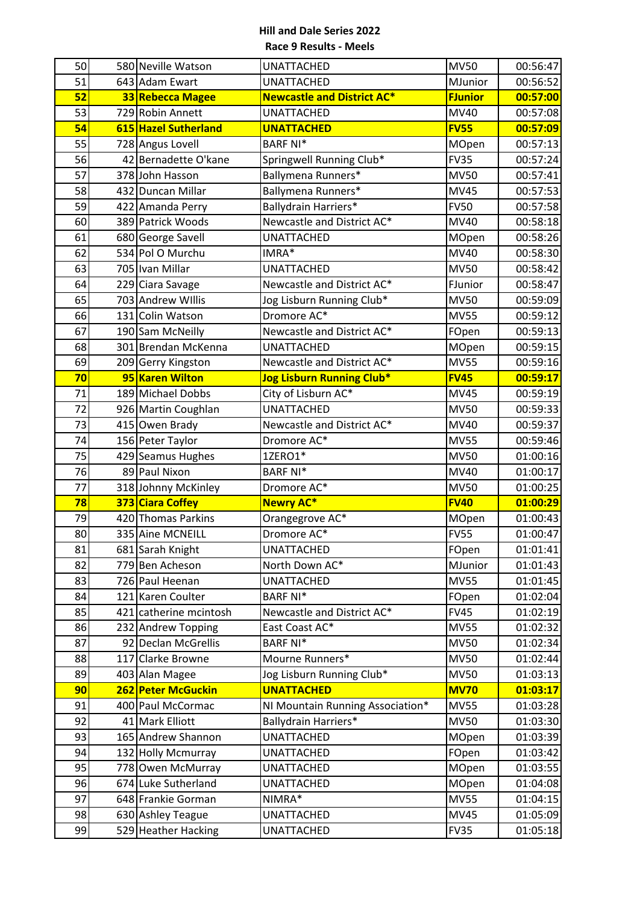| 50       | 580 Neville Watson                       | <b>UNATTACHED</b>                      | <b>MV50</b>                | 00:56:47             |
|----------|------------------------------------------|----------------------------------------|----------------------------|----------------------|
| 51       | 643 Adam Ewart                           | <b>UNATTACHED</b>                      | MJunior                    | 00:56:52             |
| 52       | 33 Rebecca Magee                         | <b>Newcastle and District AC*</b>      | <b>FJunior</b>             | 00:57:00             |
| 53       | 729 Robin Annett                         | <b>UNATTACHED</b>                      | MV40                       | 00:57:08             |
| 54       | 615 Hazel Sutherland                     | <b>UNATTACHED</b>                      | <b>FV55</b>                | 00:57:09             |
| 55       | 728 Angus Lovell                         | <b>BARF NI*</b>                        | MOpen                      | 00:57:13             |
| 56       | 42 Bernadette O'kane                     | Springwell Running Club*               | <b>FV35</b>                | 00:57:24             |
| 57       | 378 John Hasson                          | Ballymena Runners*                     | <b>MV50</b>                | 00:57:41             |
| 58       | 432 Duncan Millar                        | Ballymena Runners*                     | <b>MV45</b>                | 00:57:53             |
| 59       | 422 Amanda Perry                         | <b>Ballydrain Harriers*</b>            | <b>FV50</b>                | 00:57:58             |
| 60       | 389 Patrick Woods                        | Newcastle and District AC*             | <b>MV40</b>                | 00:58:18             |
| 61       | 680 George Savell                        | <b>UNATTACHED</b>                      | MOpen                      | 00:58:26             |
| 62       | 534 Pol O Murchu                         | IMRA*                                  | <b>MV40</b>                | 00:58:30             |
| 63       | 705 Ivan Millar                          | <b>UNATTACHED</b>                      | <b>MV50</b>                | 00:58:42             |
| 64       | 229 Ciara Savage                         | Newcastle and District AC*             | FJunior                    | 00:58:47             |
| 65       | 703 Andrew Willis                        | Jog Lisburn Running Club*              | <b>MV50</b>                | 00:59:09             |
| 66       | 131 Colin Watson                         | Dromore AC*                            | <b>MV55</b>                | 00:59:12             |
| 67       | 190 Sam McNeilly                         | Newcastle and District AC*             | FOpen                      | 00:59:13             |
| 68       | 301 Brendan McKenna                      | <b>UNATTACHED</b>                      | MOpen                      | 00:59:15             |
| 69       | 209 Gerry Kingston                       | Newcastle and District AC*             | <b>MV55</b>                | 00:59:16             |
| 70       | 95 Karen Wilton                          | <b>Jog Lisburn Running Club*</b>       | <b>FV45</b>                | 00:59:17             |
| 71       | 189 Michael Dobbs                        | City of Lisburn AC*                    | <b>MV45</b>                | 00:59:19             |
| 72       | 926 Martin Coughlan                      | <b>UNATTACHED</b>                      | <b>MV50</b>                | 00:59:33             |
| 73       | 415 Owen Brady                           | Newcastle and District AC*             | MV40                       | 00:59:37             |
| 74       | 156 Peter Taylor                         | Dromore AC*                            | <b>MV55</b>                | 00:59:46             |
|          |                                          |                                        |                            |                      |
| 75       | 429 Seamus Hughes                        | 1ZERO1*                                | <b>MV50</b>                | 01:00:16             |
| 76       | 89 Paul Nixon                            | <b>BARF NI*</b>                        | MV40                       | 01:00:17             |
| 77       | 318 Johnny McKinley                      | Dromore AC*                            | <b>MV50</b>                | 01:00:25             |
| 78       | 373 Ciara Coffey                         | <b>Newry AC*</b>                       | <b>FV40</b>                | 01:00:29             |
| 79       | 420 Thomas Parkins                       | Orangegrove AC*                        | MOpen                      | 01:00:43             |
| 80       | 335 Aine MCNEILL                         | Dromore AC*                            | <b>FV55</b>                | 01:00:47             |
| 81       | 681 Sarah Knight                         | <b>UNATTACHED</b>                      | FOpen                      | 01:01:41             |
| 82       | 779 Ben Acheson                          | North Down AC*                         | MJunior                    | 01:01:43             |
| 83       | 726 Paul Heenan                          | <b>UNATTACHED</b>                      | <b>MV55</b>                | 01:01:45             |
| 84       | 121 Karen Coulter                        | <b>BARF NI*</b>                        | FOpen                      | 01:02:04             |
| 85       | 421 catherine mcintosh                   | Newcastle and District AC*             | <b>FV45</b>                | 01:02:19             |
| 86       | 232 Andrew Topping                       | East Coast AC*                         | <b>MV55</b>                | 01:02:32             |
| 87       | 92 Declan McGrellis                      | <b>BARF NI*</b>                        | <b>MV50</b>                | 01:02:34             |
| 88       | 117 Clarke Browne                        | Mourne Runners*                        | <b>MV50</b>                | 01:02:44             |
| 89       | 403 Alan Magee                           | Jog Lisburn Running Club*              | <b>MV50</b>                | 01:03:13             |
| 90       | 262 Peter McGuckin                       | <b>UNATTACHED</b>                      | <b>MV70</b>                | 01:03:17             |
| 91       | 400 Paul McCormac                        | NI Mountain Running Association*       | <b>MV55</b>                | 01:03:28             |
| 92       | 41 Mark Elliott                          | <b>Ballydrain Harriers*</b>            | <b>MV50</b>                | 01:03:30             |
| 93       | 165 Andrew Shannon                       | <b>UNATTACHED</b>                      | MOpen                      | 01:03:39             |
| 94       | 132 Holly Mcmurray                       | <b>UNATTACHED</b>                      | FOpen                      | 01:03:42             |
| 95       | 778 Owen McMurray                        | <b>UNATTACHED</b>                      | MOpen                      | 01:03:55             |
| 96       | 674 Luke Sutherland                      | <b>UNATTACHED</b>                      | MOpen                      | 01:04:08             |
| 97       | 648 Frankie Gorman                       | NIMRA*                                 | <b>MV55</b>                | 01:04:15             |
| 98<br>99 | 630 Ashley Teague<br>529 Heather Hacking | <b>UNATTACHED</b><br><b>UNATTACHED</b> | <b>MV45</b><br><b>FV35</b> | 01:05:09<br>01:05:18 |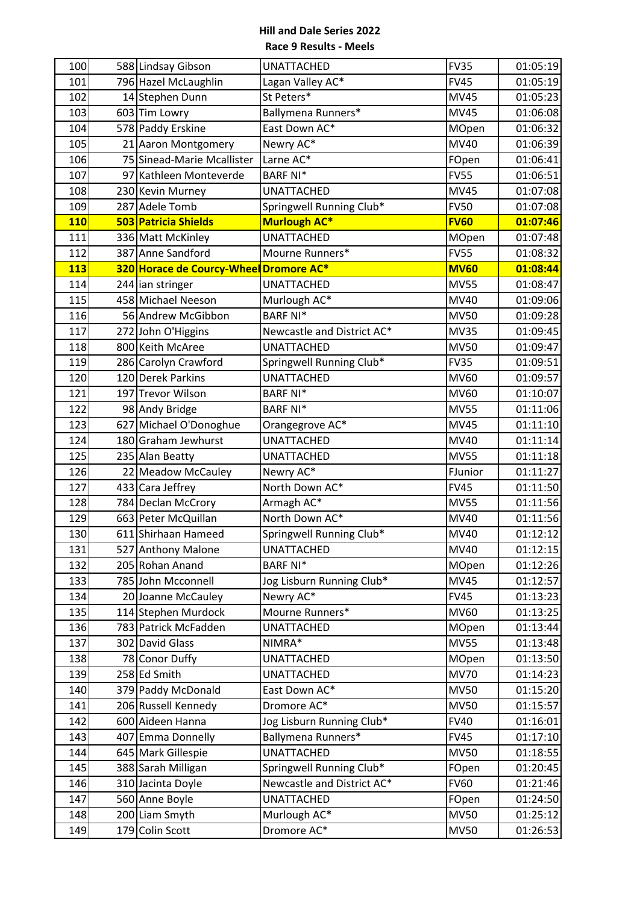| 100        | 588 Lindsay Gibson                     | <b>UNATTACHED</b>          | <b>FV35</b> | 01:05:19 |
|------------|----------------------------------------|----------------------------|-------------|----------|
| 101        | 796 Hazel McLaughlin                   | Lagan Valley AC*           | <b>FV45</b> | 01:05:19 |
| 102        | 14 Stephen Dunn                        | St Peters*                 | <b>MV45</b> | 01:05:23 |
| 103        | 603 Tim Lowry                          | Ballymena Runners*         | <b>MV45</b> | 01:06:08 |
| 104        | 578 Paddy Erskine                      | East Down AC*              | MOpen       | 01:06:32 |
| 105        | 21 Aaron Montgomery                    | Newry AC*                  | MV40        | 01:06:39 |
| 106        | 75 Sinead-Marie Mcallister             | Larne AC*                  | FOpen       | 01:06:41 |
| 107        | 97 Kathleen Monteverde                 | <b>BARF NI*</b>            | <b>FV55</b> | 01:06:51 |
| 108        | 230 Kevin Murney                       | <b>UNATTACHED</b>          | <b>MV45</b> | 01:07:08 |
| 109        | 287 Adele Tomb                         | Springwell Running Club*   | <b>FV50</b> | 01:07:08 |
| <b>110</b> | 503 Patricia Shields                   | <b>Murlough AC*</b>        | <b>FV60</b> | 01:07:46 |
| 111        | 336 Matt McKinley                      | <b>UNATTACHED</b>          | MOpen       | 01:07:48 |
| 112        | 387 Anne Sandford                      | Mourne Runners*            | <b>FV55</b> | 01:08:32 |
| 113        | 320 Horace de Courcy-Wheel Dromore AC* |                            | <b>MV60</b> | 01:08:44 |
| 114        | 244 ian stringer                       | <b>UNATTACHED</b>          | <b>MV55</b> | 01:08:47 |
| 115        | 458 Michael Neeson                     | Murlough AC*               | MV40        | 01:09:06 |
| 116        | 56 Andrew McGibbon                     | <b>BARF NI*</b>            | <b>MV50</b> | 01:09:28 |
| 117        | 272 John O'Higgins                     | Newcastle and District AC* | <b>MV35</b> | 01:09:45 |
| 118        | 800 Keith McAree                       | <b>UNATTACHED</b>          | <b>MV50</b> | 01:09:47 |
| 119        | 286 Carolyn Crawford                   | Springwell Running Club*   | <b>FV35</b> | 01:09:51 |
| 120        | 120 Derek Parkins                      | <b>UNATTACHED</b>          | MV60        | 01:09:57 |
| 121        | 197 Trevor Wilson                      | <b>BARF NI*</b>            | MV60        | 01:10:07 |
| 122        | 98 Andy Bridge                         | <b>BARF NI*</b>            | <b>MV55</b> | 01:11:06 |
| 123        | 627 Michael O'Donoghue                 | Orangegrove AC*            | <b>MV45</b> | 01:11:10 |
| 124        | 180 Graham Jewhurst                    | <b>UNATTACHED</b>          | <b>MV40</b> | 01:11:14 |
| 125        | 235 Alan Beatty                        | <b>UNATTACHED</b>          | <b>MV55</b> | 01:11:18 |
| 126        | 22 Meadow McCauley                     | Newry AC*                  | FJunior     | 01:11:27 |
| 127        | 433 Cara Jeffrey                       | North Down AC*             | <b>FV45</b> | 01:11:50 |
| 128        | 784 Declan McCrory                     | Armagh AC*                 | <b>MV55</b> | 01:11:56 |
| 129        | 663 Peter McQuillan                    | North Down AC*             | MV40        | 01:11:56 |
| 130        | 611 Shirhaan Hameed                    | Springwell Running Club*   | <b>MV40</b> | 01:12:12 |
| 131        | 527 Anthony Malone                     | <b>UNATTACHED</b>          | MV40        | 01:12:15 |
| 132        | 205 Rohan Anand                        | <b>BARF NI*</b>            | MOpen       | 01:12:26 |
| 133        | 785 John Mcconnell                     | Jog Lisburn Running Club*  | <b>MV45</b> | 01:12:57 |
| 134        | 20 Joanne McCauley                     | Newry AC*                  | <b>FV45</b> | 01:13:23 |
| 135        | 114 Stephen Murdock                    | Mourne Runners*            | MV60        | 01:13:25 |
| 136        | 783 Patrick McFadden                   | <b>UNATTACHED</b>          | MOpen       | 01:13:44 |
| 137        | 302 David Glass                        | NIMRA*                     | <b>MV55</b> | 01:13:48 |
| 138        | 78 Conor Duffy                         | <b>UNATTACHED</b>          | MOpen       | 01:13:50 |
| 139        | 258 Ed Smith                           | <b>UNATTACHED</b>          | <b>MV70</b> | 01:14:23 |
| 140        | 379 Paddy McDonald                     | East Down AC*              | <b>MV50</b> | 01:15:20 |
| 141        | 206 Russell Kennedy                    | Dromore AC*                | <b>MV50</b> | 01:15:57 |
| 142        | 600 Aideen Hanna                       | Jog Lisburn Running Club*  | <b>FV40</b> | 01:16:01 |
| 143        | 407 Emma Donnelly                      | Ballymena Runners*         | <b>FV45</b> | 01:17:10 |
| 144        | 645 Mark Gillespie                     | <b>UNATTACHED</b>          | <b>MV50</b> | 01:18:55 |
| 145        | 388 Sarah Milligan                     | Springwell Running Club*   | FOpen       | 01:20:45 |
| 146        | 310 Jacinta Doyle                      | Newcastle and District AC* | <b>FV60</b> | 01:21:46 |
| 147        | 560 Anne Boyle                         | <b>UNATTACHED</b>          | FOpen       | 01:24:50 |
| 148        | 200 Liam Smyth                         | Murlough AC*               | <b>MV50</b> | 01:25:12 |
| 149        | 179 Colin Scott                        | Dromore AC*                | <b>MV50</b> | 01:26:53 |